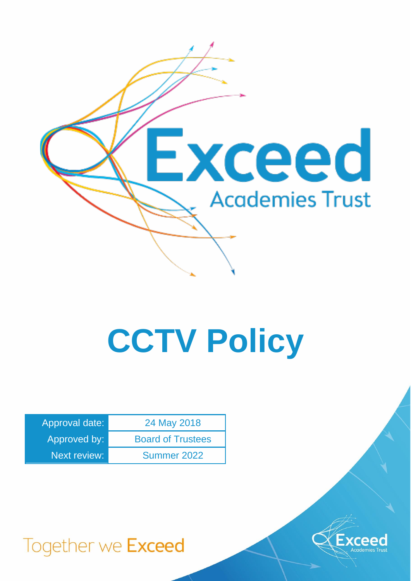

# **CCTV Policy**

| Approval date:      | 24 May 2018              |
|---------------------|--------------------------|
| Approved by:        | <b>Board of Trustees</b> |
| <b>Next review:</b> | Summer 2022              |



Together we Exceed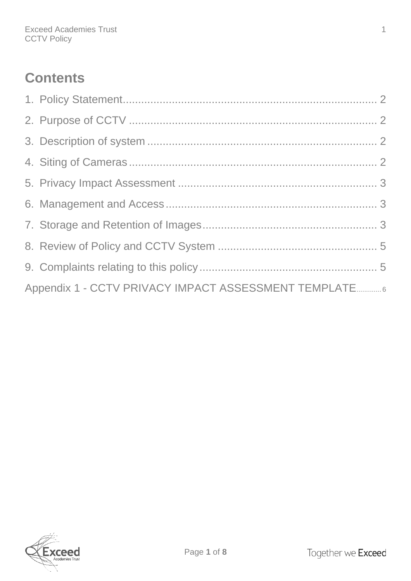# **Contents**

| Appendix 1 - CCTV PRIVACY IMPACT ASSESSMENT TEMPLATE 6 |  |
|--------------------------------------------------------|--|

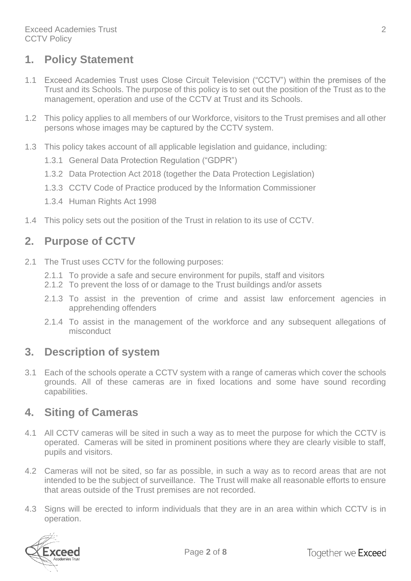### <span id="page-2-0"></span>**1. Policy Statement**

- 1.1 Exceed Academies Trust uses Close Circuit Television ("CCTV") within the premises of the Trust and its Schools. The purpose of this policy is to set out the position of the Trust as to the management, operation and use of the CCTV at Trust and its Schools.
- 1.2 This policy applies to all members of our Workforce, visitors to the Trust premises and all other persons whose images may be captured by the CCTV system.
- 1.3 This policy takes account of all applicable legislation and guidance, including:
	- 1.3.1 General Data Protection Regulation ("GDPR")
	- 1.3.2 Data Protection Act 2018 (together the Data Protection Legislation)
	- 1.3.3 CCTV Code of Practice produced by the Information Commissioner
	- 1.3.4 Human Rights Act 1998
- 1.4 This policy sets out the position of the Trust in relation to its use of CCTV.

#### <span id="page-2-1"></span>**2. Purpose of CCTV**

- 2.1 The Trust uses CCTV for the following purposes:
	- 2.1.1 To provide a safe and secure environment for pupils, staff and visitors
	- 2.1.2 To prevent the loss of or damage to the Trust buildings and/or assets
	- 2.1.3 To assist in the prevention of crime and assist law enforcement agencies in apprehending offenders
	- 2.1.4 To assist in the management of the workforce and any subsequent allegations of misconduct

#### <span id="page-2-2"></span>**3. Description of system**

3.1 Each of the schools operate a CCTV system with a range of cameras which cover the schools grounds. All of these cameras are in fixed locations and some have sound recording capabilities.

#### <span id="page-2-3"></span>**4. Siting of Cameras**

- 4.1 All CCTV cameras will be sited in such a way as to meet the purpose for which the CCTV is operated. Cameras will be sited in prominent positions where they are clearly visible to staff, pupils and visitors.
- 4.2 Cameras will not be sited, so far as possible, in such a way as to record areas that are not intended to be the subject of surveillance. The Trust will make all reasonable efforts to ensure that areas outside of the Trust premises are not recorded.
- 4.3 Signs will be erected to inform individuals that they are in an area within which CCTV is in operation.

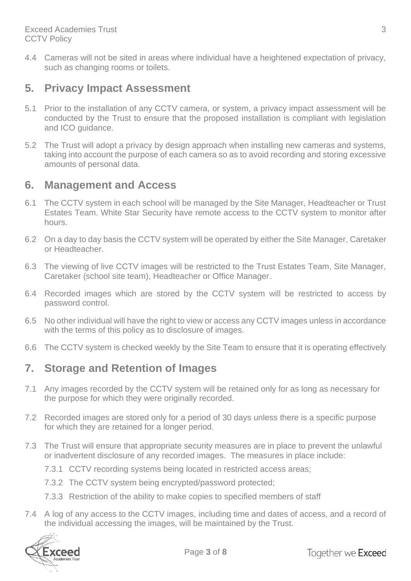4.4 Cameras will not be sited in areas where individual have a heightened expectation of privacy, such as changing rooms or toilets.

#### <span id="page-3-0"></span>**5. Privacy Impact Assessment**

- 5.1 Prior to the installation of any CCTV camera, or system, a privacy impact assessment will be conducted by the Trust to ensure that the proposed installation is compliant with legislation and ICO guidance.
- 5.2 The Trust will adopt a privacy by design approach when installing new cameras and systems, taking into account the purpose of each camera so as to avoid recording and storing excessive amounts of personal data.

#### <span id="page-3-1"></span>**6. Management and Access**

- 6.1 The CCTV system in each school will be managed by the Site Manager, Headteacher or Trust Estates Team. White Star Security have remote access to the CCTV system to monitor after hours.
- 6.2 On a day to day basis the CCTV system will be operated by either the Site Manager, Caretaker or Headteacher.
- 6.3 The viewing of live CCTV images will be restricted to the Trust Estates Team, Site Manager, Caretaker (school site team), Headteacher or Office Manager.
- 6.4 Recorded images which are stored by the CCTV system will be restricted to access by password control.
- 6.5 No other individual will have the right to view or access any CCTV images unless in accordance with the terms of this policy as to disclosure of images.
- 6.6 The CCTV system is checked weekly by the Site Team to ensure that it is operating effectively

#### <span id="page-3-2"></span>**7. Storage and Retention of Images**

- 7.1 Any images recorded by the CCTV system will be retained only for as long as necessary for the purpose for which they were originally recorded.
- 7.2 Recorded images are stored only for a period of 30 days unless there is a specific purpose for which they are retained for a longer period.
- 7.3 The Trust will ensure that appropriate security measures are in place to prevent the unlawful or inadvertent disclosure of any recorded images. The measures in place include:
	- 7.3.1 CCTV recording systems being located in restricted access areas;
	- 7.3.2 The CCTV system being encrypted/password protected;
	- 7.3.3 Restriction of the ability to make copies to specified members of staff
- 7.4 A log of any access to the CCTV images, including time and dates of access, and a record of the individual accessing the images, will be maintained by the Trust.

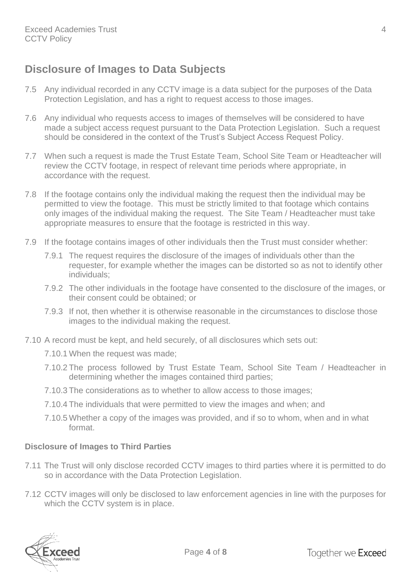# **Disclosure of Images to Data Subjects**

- 7.5 Any individual recorded in any CCTV image is a data subject for the purposes of the Data Protection Legislation, and has a right to request access to those images.
- 7.6 Any individual who requests access to images of themselves will be considered to have made a subject access request pursuant to the Data Protection Legislation. Such a request should be considered in the context of the Trust's Subject Access Request Policy.
- 7.7 When such a request is made the Trust Estate Team, School Site Team or Headteacher will review the CCTV footage, in respect of relevant time periods where appropriate, in accordance with the request.
- 7.8 If the footage contains only the individual making the request then the individual may be permitted to view the footage. This must be strictly limited to that footage which contains only images of the individual making the request. The Site Team / Headteacher must take appropriate measures to ensure that the footage is restricted in this way.
- 7.9 If the footage contains images of other individuals then the Trust must consider whether:
	- 7.9.1 The request requires the disclosure of the images of individuals other than the requester, for example whether the images can be distorted so as not to identify other individuals;
	- 7.9.2 The other individuals in the footage have consented to the disclosure of the images, or their consent could be obtained; or
	- 7.9.3 If not, then whether it is otherwise reasonable in the circumstances to disclose those images to the individual making the request.
- 7.10 A record must be kept, and held securely, of all disclosures which sets out:
	- 7.10.1 When the request was made;
	- 7.10.2 The process followed by Trust Estate Team, School Site Team / Headteacher in determining whether the images contained third parties;
	- 7.10.3 The considerations as to whether to allow access to those images;
	- 7.10.4 The individuals that were permitted to view the images and when; and
	- 7.10.5 Whether a copy of the images was provided, and if so to whom, when and in what format.

#### **Disclosure of Images to Third Parties**

- 7.11 The Trust will only disclose recorded CCTV images to third parties where it is permitted to do so in accordance with the Data Protection Legislation.
- 7.12 CCTV images will only be disclosed to law enforcement agencies in line with the purposes for which the CCTV system is in place.

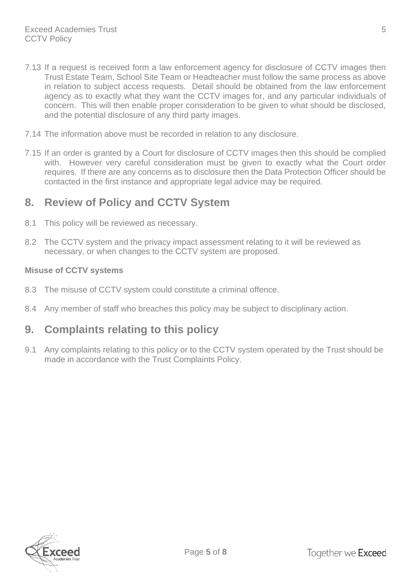- 7.13 If a request is received form a law enforcement agency for disclosure of CCTV images then Trust Estate Team, School Site Team or Headteacher must follow the same process as above in relation to subject access requests. Detail should be obtained from the law enforcement agency as to exactly what they want the CCTV images for, and any particular individuals of concern. This will then enable proper consideration to be given to what should be disclosed, and the potential disclosure of any third party images.
- 7.14 The information above must be recorded in relation to any disclosure.
- 7.15 If an order is granted by a Court for disclosure of CCTV images then this should be complied with. However very careful consideration must be given to exactly what the Court order requires. If there are any concerns as to disclosure then the Data Protection Officer should be contacted in the first instance and appropriate legal advice may be required.

### <span id="page-5-0"></span>**8. Review of Policy and CCTV System**

- 8.1 This policy will be reviewed as necessary.
- 8.2 The CCTV system and the privacy impact assessment relating to it will be reviewed as necessary, or when changes to the CCTV system are proposed.

#### **Misuse of CCTV systems**

- 8.3 The misuse of CCTV system could constitute a criminal offence.
- 8.4 Any member of staff who breaches this policy may be subject to disciplinary action.

#### <span id="page-5-1"></span>**9. Complaints relating to this policy**

9.1 Any complaints relating to this policy or to the CCTV system operated by the Trust should be made in accordance with the Trust Complaints Policy.

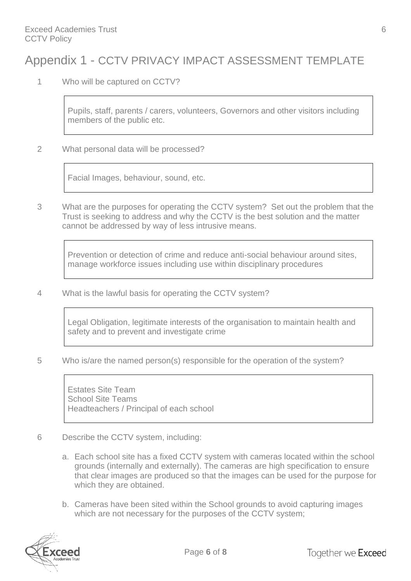# <span id="page-6-0"></span>Appendix 1 - CCTV PRIVACY IMPACT ASSESSMENT TEMPLATE

1 Who will be captured on CCTV?

Pupils, staff, parents / carers, volunteers, Governors and other visitors including members of the public etc.

2 What personal data will be processed?

Facial Images, behaviour, sound, etc.

3 What are the purposes for operating the CCTV system? Set out the problem that the Trust is seeking to address and why the CCTV is the best solution and the matter cannot be addressed by way of less intrusive means.

Prevention or detection of crime and reduce anti-social behaviour around sites, manage workforce issues including use within disciplinary procedures

4 What is the lawful basis for operating the CCTV system?

Legal Obligation, legitimate interests of the organisation to maintain health and safety and to prevent and investigate crime

5 Who is/are the named person(s) responsible for the operation of the system?

Estates Site Team School Site Teams Headteachers / Principal of each school

- 6 Describe the CCTV system, including:
	- a. Each school site has a fixed CCTV system with cameras located within the school grounds (internally and externally). The cameras are high specification to ensure that clear images are produced so that the images can be used for the purpose for which they are obtained.
	- b. Cameras have been sited within the School grounds to avoid capturing images which are not necessary for the purposes of the CCTV system;

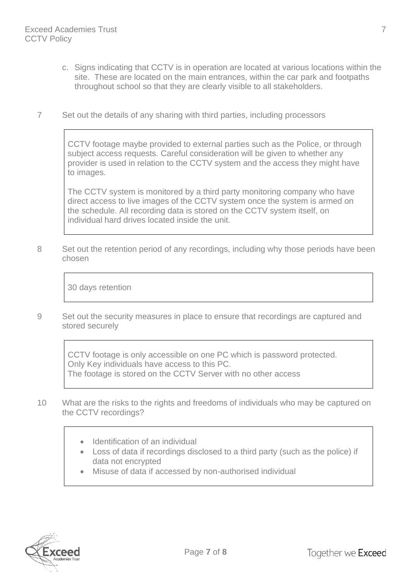- c. Signs indicating that CCTV is in operation are located at various locations within the site. These are located on the main entrances, within the car park and footpaths throughout school so that they are clearly visible to all stakeholders.
- 7 Set out the details of any sharing with third parties, including processors

CCTV footage maybe provided to external parties such as the Police, or through subject access requests. Careful consideration will be given to whether any provider is used in relation to the CCTV system and the access they might have to images.

The CCTV system is monitored by a third party monitoring company who have direct access to live images of the CCTV system once the system is armed on the schedule. All recording data is stored on the CCTV system itself, on individual hard drives located inside the unit.

8 Set out the retention period of any recordings, including why those periods have been chosen

30 days retention

9 Set out the security measures in place to ensure that recordings are captured and stored securely

CCTV footage is only accessible on one PC which is password protected. Only Key individuals have access to this PC. The footage is stored on the CCTV Server with no other access

- 10 What are the risks to the rights and freedoms of individuals who may be captured on the CCTV recordings?
	- Identification of an individual
	- Loss of data if recordings disclosed to a third party (such as the police) if data not encrypted
	- Misuse of data if accessed by non-authorised individual